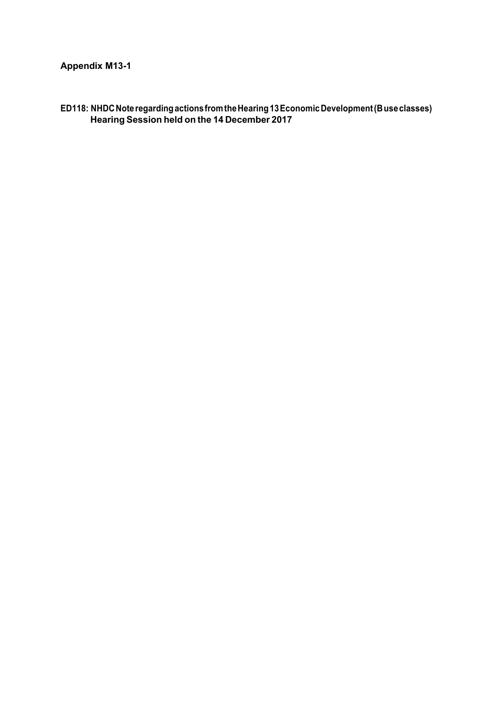**ED118: NHDCNoteregardingactionsfromtheHearing13EconomicDevelopment(Buseclasses) Hearing Session held on the 14 December 2017**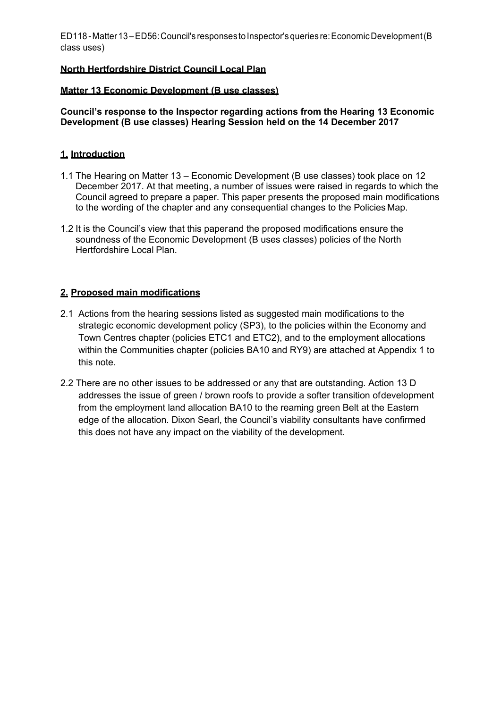### **North Hertfordshire District Council Local Plan**

#### **Matter 13 Economic Development (B use classes)**

**Council's response to the Inspector regarding actions from the Hearing 13 Economic Development (B use classes) Hearing Session held on the 14 December 2017**

### **1. Introduction**

- 1.1 The Hearing on Matter 13 Economic Development (B use classes) took place on 12 December 2017. At that meeting, a number of issues were raised in regards to which the Council agreed to prepare a paper. This paper presents the proposed main modifications to the wording of the chapter and any consequential changes to the Policies Map.
- 1.2 It is the Council's view that this paperand the proposed modifications ensure the soundness of the Economic Development (B uses classes) policies of the North Hertfordshire Local Plan.

## **2. Proposed main modifications**

- 2.1 Actions from the hearing sessions listed as suggested main modifications to the strategic economic development policy (SP3), to the policies within the Economy and Town Centres chapter (policies ETC1 and ETC2), and to the employment allocations within the Communities chapter (policies BA10 and RY9) are attached at Appendix 1 to this note.
- 2.2 There are no other issues to be addressed or any that are outstanding. Action 13 D addresses the issue of green / brown roofs to provide a softer transition ofdevelopment from the employment land allocation BA10 to the reaming green Belt at the Eastern edge of the allocation. Dixon Searl, the Council's viability consultants have confirmed this does not have any impact on the viability of the development.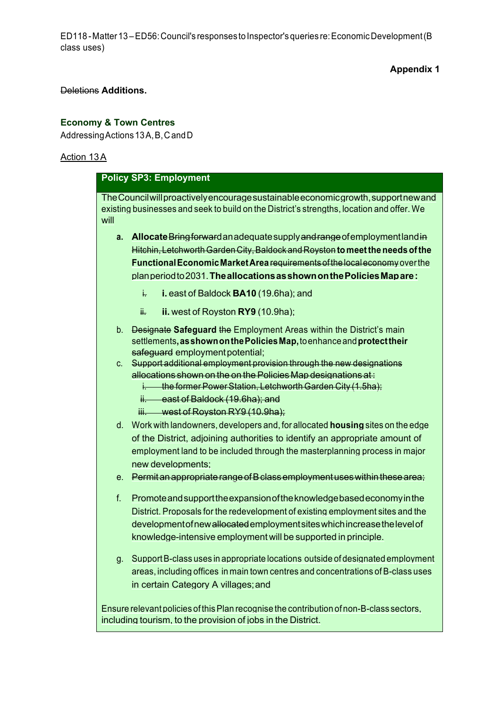## **Appendix 1**

# Deletions **Additions.**

# **Economy & Town Centres**

Addressing Actions 13A, B, C and D

# Action 13A

| <b>Policy SP3: Employment</b> |                                                                                                                                                                                                                                                                                                          |  |  |
|-------------------------------|----------------------------------------------------------------------------------------------------------------------------------------------------------------------------------------------------------------------------------------------------------------------------------------------------------|--|--|
| will                          | The Council will proactively encourage sustainable economic growth, supportnew and<br>existing businesses and seek to build on the District's strengths, location and offer. We                                                                                                                          |  |  |
| а.                            | Allocate Bring forward an adequate supply and range of employment land in<br>Hitchin, Letchworth Garden City, Baldock and Royston to meet the needs of the<br><b>Functional Economic Market Area requirements of the local economy over the</b>                                                          |  |  |
|                               | plan period to 2031. The allocations as shown on the Policies Map are:                                                                                                                                                                                                                                   |  |  |
|                               | i. east of Baldock BA10 (19.6ha); and<br>ŧ.                                                                                                                                                                                                                                                              |  |  |
|                               | ii. west of Royston RY9 (10.9ha);<br>₩.                                                                                                                                                                                                                                                                  |  |  |
| b.                            | Designate Safeguard the Employment Areas within the District's main<br>settlements, as shown on the Policies Map, to enhance and protect their<br>safeguard employment potential;                                                                                                                        |  |  |
| C.                            | Support additional employment provision through the new designations<br>allocations shown on the on the Policies Map designations at:<br>i. the former Power Station, Letchworth Garden City (1.5ha);<br>ii. east of Baldock (19.6ha); and                                                               |  |  |
|                               | iii. west of Royston RY9 (10.9ha);                                                                                                                                                                                                                                                                       |  |  |
| $d_{-}$                       | Work with landowners, developers and, for allocated housing sites on the edge<br>of the District, adjoining authorities to identify an appropriate amount of                                                                                                                                             |  |  |
|                               | employment land to be included through the masterplanning process in major                                                                                                                                                                                                                               |  |  |
|                               | new developments;                                                                                                                                                                                                                                                                                        |  |  |
| е.                            | Permit an appropriate range of B class employment uses within these area;                                                                                                                                                                                                                                |  |  |
| f.                            | Promote and support the expansion of the knowledge based economy in the<br>District. Proposals for the redevelopment of existing employment sites and the<br>development of new allocated employment sites which increase the level of<br>knowledge-intensive employment will be supported in principle. |  |  |
| g.                            | Support B-class uses in appropriate locations outside of designated employment<br>areas, including offices in main town centres and concentrations of B-class uses<br>in certain Category A villages; and                                                                                                |  |  |
|                               | Ensure relevant policies of this Plan recognise the contribution of non-B-class sectors,<br>including tourism, to the provision of jobs in the District.                                                                                                                                                 |  |  |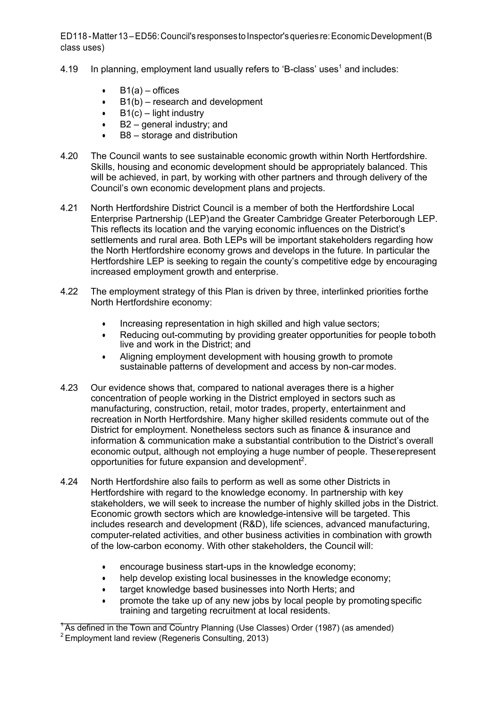- 4.19 In planning, employment land usually refers to 'B-class' uses<sup>1</sup> and includes:
	- $B1(a) -$  offices
	- B1(b) research and development
	- $\bullet$  B1(c) light industry
	- B2 general industry; and
	- B8 storage and distribution
- 4.20 The Council wants to see sustainable economic growth within North Hertfordshire. Skills, housing and economic development should be appropriately balanced. This will be achieved, in part, by working with other partners and through delivery of the Council's own economic development plans and projects.
- 4.21 North Hertfordshire District Council is a member of both the Hertfordshire Local Enterprise Partnership (LEP)and the Greater Cambridge Greater Peterborough LEP. This reflects its location and the varying economic influences on the District's settlements and rural area. Both LEPs will be important stakeholders regarding how the North Hertfordshire economy grows and develops in the future. In particular the Hertfordshire LEP is seeking to regain the county's competitive edge by encouraging increased employment growth and enterprise.
- 4.22 The employment strategy of this Plan is driven by three, interlinked priorities forthe North Hertfordshire economy:
	- Increasing representation in high skilled and high value sectors;
	- Reducing out-commuting by providing greater opportunities for people toboth live and work in the District; and
	- Aligning employment development with housing growth to promote sustainable patterns of development and access by non-car modes.
- 4.23 Our evidence shows that, compared to national averages there is a higher concentration of people working in the District employed in sectors such as manufacturing, construction, retail, motor trades, property, entertainment and recreation in North Hertfordshire. Many higher skilled residents commute out of the District for employment. Nonetheless sectors such as finance & insurance and information & communication make a substantial contribution to the District's overall economic output, although not employing a huge number of people. Theserepresent opportunities for future expansion and development<sup>2</sup>.
- 4.24 North Hertfordshire also fails to perform as well as some other Districts in Hertfordshire with regard to the knowledge economy. In partnership with key stakeholders, we will seek to increase the number of highly skilled jobs in the District. Economic growth sectors which are knowledge-intensive will be targeted. This includes research and development (R&D), life sciences, advanced manufacturing, computer-related activities, and other business activities in combination with growth of the low-carbon economy. With other stakeholders, the Council will:
	- encourage business start-ups in the knowledge economy;
	- help develop existing local businesses in the knowledge economy;
	- target knowledge based businesses into North Herts; and
	- promote the take up of any new jobs by local people by promoting specific training and targeting recruitment at local residents.

<sup>&</sup>lt;sup>+</sup>As defined in the Town and Country Planning (Use Classes) Order (1987) (as amended)

<sup>&</sup>lt;sup>2</sup> Employment land review (Regeneris Consulting, 2013)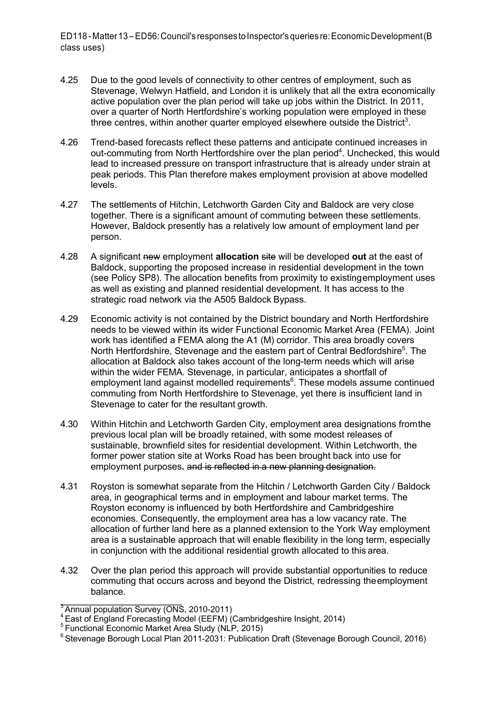- 4.25 Due to the good levels of connectivity to other centres of employment, such as Stevenage, Welwyn Hatfield, and London it is unlikely that all the extra economically active population over the plan period will take up jobs within the District. In 2011, over a quarter of North Hertfordshire's working population were employed in these three centres, within another quarter employed elsewhere outside the District<sup>3</sup>.
- 4.26 Trend-based forecasts reflect these patterns and anticipate continued increases in out-commuting from North Hertfordshire over the plan period<sup>4</sup>. Unchecked, this would lead to increased pressure on transport infrastructure that is already under strain at peak periods. This Plan therefore makes employment provision at above modelled levels.
- 4.27 The settlements of Hitchin, Letchworth Garden City and Baldock are very close together. There is a significant amount of commuting between these settlements. However, Baldock presently has a relatively low amount of employment land per person.
- 4.28 A significant new employment **allocation** site will be developed **out** at the east of Baldock, supporting the proposed increase in residential development in the town (see Policy SP8). The allocation benefits from proximity to existingemployment uses as well as existing and planned residential development. It has access to the strategic road network via the A505 Baldock Bypass.
- 4.29 Economic activity is not contained by the District boundary and North Hertfordshire needs to be viewed within its wider Functional Economic Market Area (FEMA). Joint work has identified a FEMA along the A1 (M) corridor. This area broadly covers North Hertfordshire, Stevenage and the eastern part of Central Bedfordshire<sup>5</sup>. The allocation at Baldock also takes account of the long-term needs which will arise within the wider FEMA. Stevenage, in particular, anticipates a shortfall of employment land against modelled requirements<sup>6</sup>. These models assume continued commuting from North Hertfordshire to Stevenage, yet there is insufficient land in Stevenage to cater for the resultant growth.
- 4.30 Within Hitchin and Letchworth Garden City, employment area designations fromthe previous local plan will be broadly retained, with some modest releases of sustainable, brownfield sites for residential development. Within Letchworth, the former power station site at Works Road has been brought back into use for employment purposes**.** and is reflected in a new planning designation.
- 4.31 Royston is somewhat separate from the Hitchin / Letchworth Garden City / Baldock area, in geographical terms and in employment and labour market terms. The Royston economy is influenced by both Hertfordshire and Cambridgeshire economies. Consequently, the employment area has a low vacancy rate. The allocation of further land here as a planned extension to the York Way employment area is a sustainable approach that will enable flexibility in the long term, especially in conjunction with the additional residential growth allocated to this area.
- 4.32 Over the plan period this approach will provide substantial opportunities to reduce commuting that occurs across and beyond the District, redressing theemployment balance.

<sup>&</sup>lt;sup>3</sup> Annual population Survey (ONS, 2010-2011)<br><sup>4</sup> East of England Forecasting Model (EEFM) (Cambridgeshire Insight, 2014)

<sup>5</sup> Functional Economic Market Area Study (NLP, 2015)

<sup>&</sup>lt;sup>6</sup> Stevenage Borough Local Plan 2011-2031: Publication Draft (Stevenage Borough Council, 2016)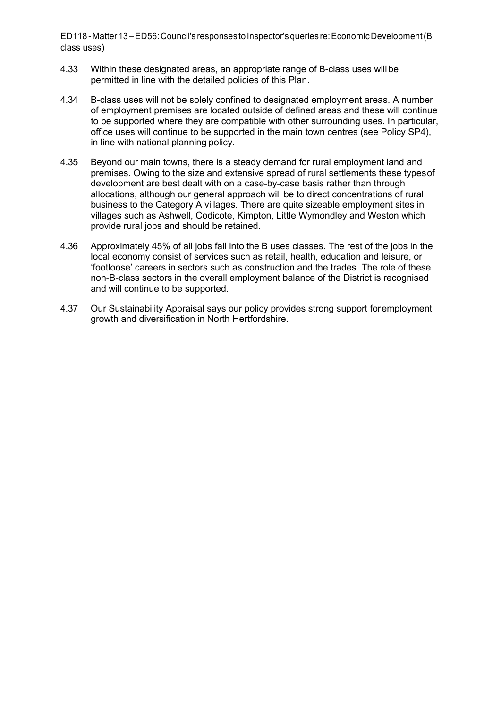- 4.33 Within these designated areas, an appropriate range of B-class uses willbe permitted in line with the detailed policies of this Plan.
- 4.34 B-class uses will not be solely confined to designated employment areas. A number of employment premises are located outside of defined areas and these will continue to be supported where they are compatible with other surrounding uses. In particular, office uses will continue to be supported in the main town centres (see Policy SP4), in line with national planning policy.
- 4.35 Beyond our main towns, there is a steady demand for rural employment land and premises. Owing to the size and extensive spread of rural settlements these typesof development are best dealt with on a case-by-case basis rather than through allocations, although our general approach will be to direct concentrations of rural business to the Category A villages. There are quite sizeable employment sites in villages such as Ashwell, Codicote, Kimpton, Little Wymondley and Weston which provide rural jobs and should be retained.
- 4.36 Approximately 45% of all jobs fall into the B uses classes. The rest of the jobs in the local economy consist of services such as retail, health, education and leisure, or 'footloose' careers in sectors such as construction and the trades. The role of these non-B-class sectors in the overall employment balance of the District is recognised and will continue to be supported.
- 4.37 Our Sustainability Appraisal says our policy provides strong support foremployment growth and diversification in North Hertfordshire.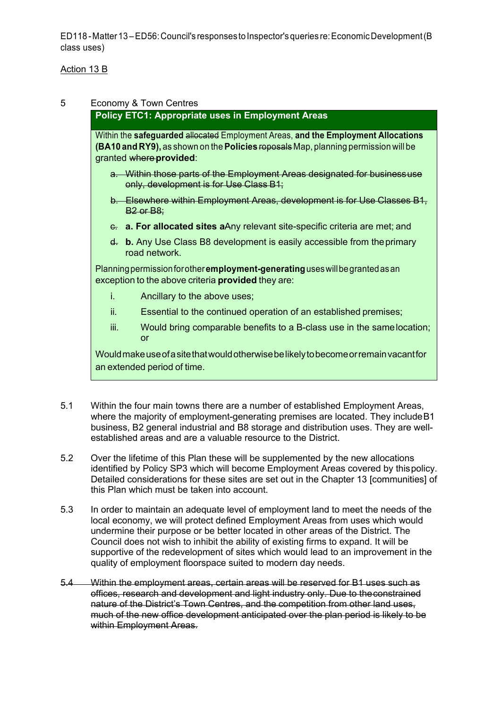### Action 13 B

### 5 Economy & Town Centres

### **Policy ETC1: Appropriate uses in Employment Areas**

Within the **safeguarded** allocated Employment Areas, **and the Employment Allocations (BA10 and RY9),** as shown on the **Policies** roposals Map, planning permission will be granted where**provided**:

- a. Within those parts of the Employment Areas designated for businessuse only, development is for Use Class B1;
- b. Elsewhere within Employment Areas, development is for Use Classes B1, B2 or B8;
- c. **a. For allocated sites a**Any relevant site-specific criteria are met; and
- d. **b.** Any Use Class B8 development is easily accessible from theprimary road network.

Planningpermissionforother**employment-generating**useswillbegrantedasan exception to the above criteria **provided** they are:

- i. Ancillary to the above uses;
- ii. Essential to the continued operation of an established premises;
- iii. Would bring comparable benefits to a B-class use in the samelocation; or

Wouldmakeuseofasitethatwouldotherwisebelikelytobecomeorremainvacantfor an extended period of time.

- 5.1 Within the four main towns there are a number of established Employment Areas, where the majority of employment-generating premises are located. They include B1 business, B2 general industrial and B8 storage and distribution uses. They are wellestablished areas and are a valuable resource to the District.
- 5.2 Over the lifetime of this Plan these will be supplemented by the new allocations identified by Policy SP3 which will become Employment Areas covered by thispolicy. Detailed considerations for these sites are set out in the Chapter 13 [communities] of this Plan which must be taken into account.
- 5.3 In order to maintain an adequate level of employment land to meet the needs of the local economy, we will protect defined Employment Areas from uses which would undermine their purpose or be better located in other areas of the District. The Council does not wish to inhibit the ability of existing firms to expand. It will be supportive of the redevelopment of sites which would lead to an improvement in the quality of employment floorspace suited to modern day needs.
- 5.4 Within the employment areas, certain areas will be reserved for B1 uses such as offices, research and development and light industry only. Due to theconstrained nature of the District's Town Centres, and the competition from other land uses. much of the new office development anticipated over the plan period is likely to be within Employment Areas.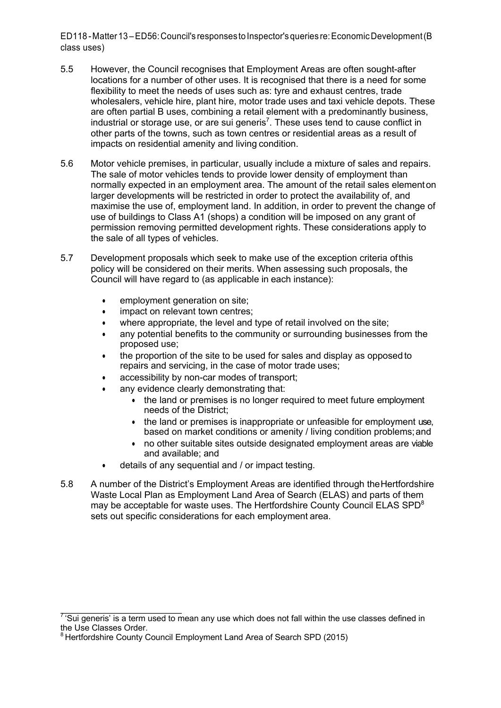- 5.5 However, the Council recognises that Employment Areas are often sought-after locations for a number of other uses. It is recognised that there is a need for some flexibility to meet the needs of uses such as: tyre and exhaust centres, trade wholesalers, vehicle hire, plant hire, motor trade uses and taxi vehicle depots. These are often partial B uses, combining a retail element with a predominantly business, industrial or storage use, or are sui generis<sup>7</sup>. These uses tend to cause conflict in other parts of the towns, such as town centres or residential areas as a result of impacts on residential amenity and living condition.
- 5.6 Motor vehicle premises, in particular, usually include a mixture of sales and repairs. The sale of motor vehicles tends to provide lower density of employment than normally expected in an employment area. The amount of the retail sales elementon larger developments will be restricted in order to protect the availability of, and maximise the use of, employment land. In addition, in order to prevent the change of use of buildings to Class A1 (shops) a condition will be imposed on any grant of permission removing permitted development rights. These considerations apply to the sale of all types of vehicles.
- 5.7 Development proposals which seek to make use of the exception criteria ofthis policy will be considered on their merits. When assessing such proposals, the Council will have regard to (as applicable in each instance):
	- employment generation on site;
	- impact on relevant town centres:
	- where appropriate, the level and type of retail involved on the site;
	- any potential benefits to the community or surrounding businesses from the proposed use;
	- the proportion of the site to be used for sales and display as opposed to repairs and servicing, in the case of motor trade uses;
	- accessibility by non-car modes of transport;
	- any evidence clearly demonstrating that:
		- the land or premises is no longer required to meet future employment needs of the District;
		- the land or premises is inappropriate or unfeasible for employment use, based on market conditions or amenity / living condition problems;and
		- no other suitable sites outside designated employment areas are viable and available; and
	- details of any sequential and / or impact testing.
- 5.8 A number of the District's Employment Areas are identified through theHertfordshire Waste Local Plan as Employment Land Area of Search (ELAS) and parts of them may be acceptable for waste uses. The Hertfordshire County Council ELAS SPD $^8$ sets out specific considerations for each employment area.

 $7.5$ ui generis' is a term used to mean any use which does not fall within the use classes defined in the Use Classes Order.

 $^8$ Hertfordshire County Council Employment Land Area of Search SPD (2015)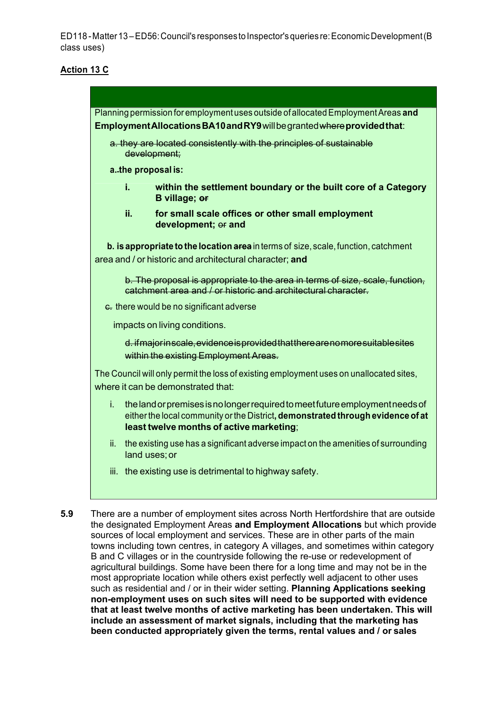### **Action 13 C**



**5.9** There are a number of employment sites across North Hertfordshire that are outside the designated Employment Areas **and Employment Allocations** but which provide sources of local employment and services. These are in other parts of the main towns including town centres, in category A villages, and sometimes within category B and C villages or in the countryside following the re-use or redevelopment of agricultural buildings. Some have been there for a long time and may not be in the most appropriate location while others exist perfectly well adjacent to other uses such as residential and / or in their wider setting. **Planning Applications seeking non-employment uses on such sites will need to be supported with evidence that at least twelve months of active marketing has been undertaken. This will include an assessment of market signals, including that the marketing has been conducted appropriately given the terms, rental values and / or sales**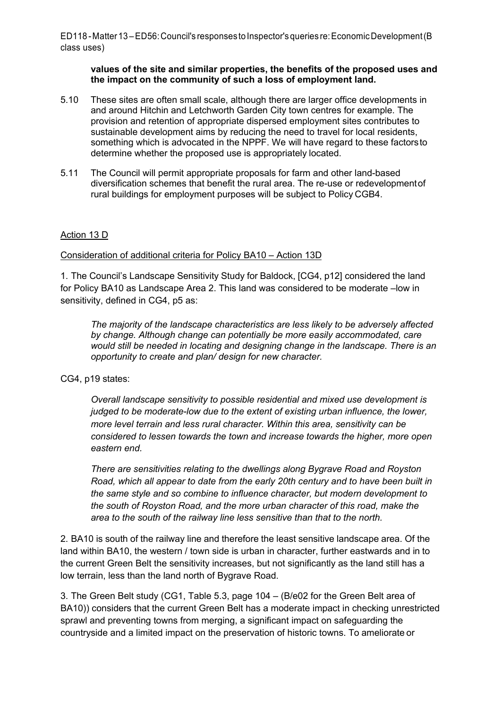#### **values of the site and similar properties, the benefits of the proposed uses and the impact on the community of such a loss of employment land.**

- 5.10 These sites are often small scale, although there are larger office developments in and around Hitchin and Letchworth Garden City town centres for example. The provision and retention of appropriate dispersed employment sites contributes to sustainable development aims by reducing the need to travel for local residents, something which is advocated in the NPPF. We will have regard to these factorsto determine whether the proposed use is appropriately located.
- 5.11 The Council will permit appropriate proposals for farm and other land-based diversification schemes that benefit the rural area. The re-use or redevelopmentof rural buildings for employment purposes will be subject to Policy CGB4.

#### Action 13 D

#### Consideration of additional criteria for Policy BA10 – Action 13D

1. The Council's Landscape Sensitivity Study for Baldock, [CG4, p12] considered the land for Policy BA10 as Landscape Area 2. This land was considered to be moderate –low in sensitivity, defined in CG4, p5 as:

*The majority of the landscape characteristics are less likely to be adversely affected by change. Although change can potentially be more easily accommodated, care would still be needed in locating and designing change in the landscape. There is an opportunity to create and plan/ design for new character.*

### CG4, p19 states:

*Overall landscape sensitivity to possible residential and mixed use development is judged to be moderate-low due to the extent of existing urban influence, the lower, more level terrain and less rural character. Within this area, sensitivity can be considered to lessen towards the town and increase towards the higher, more open eastern end.*

*There are sensitivities relating to the dwellings along Bygrave Road and Royston Road, which all appear to date from the early 20th century and to have been built in the same style and so combine to influence character, but modern development to the south of Royston Road, and the more urban character of this road, make the area to the south of the railway line less sensitive than that to the north.*

2. BA10 is south of the railway line and therefore the least sensitive landscape area. Of the land within BA10, the western / town side is urban in character, further eastwards and in to the current Green Belt the sensitivity increases, but not significantly as the land still has a low terrain, less than the land north of Bygrave Road.

3. The Green Belt study (CG1, Table 5.3, page 104 – (B/e02 for the Green Belt area of BA10)) considers that the current Green Belt has a moderate impact in checking unrestricted sprawl and preventing towns from merging, a significant impact on safeguarding the countryside and a limited impact on the preservation of historic towns. To ameliorate or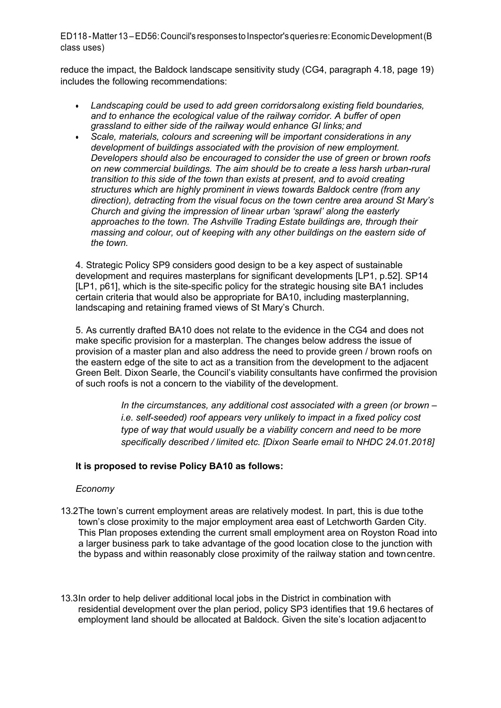reduce the impact, the Baldock landscape sensitivity study (CG4, paragraph 4.18, page 19) includes the following recommendations:

- *Landscaping could be used to add green corridorsalong existing field boundaries, and to enhance the ecological value of the railway corridor. A buffer of open grassland to either side of the railway would enhance GI links; and*
- *Scale, materials, colours and screening will be important considerations in any development of buildings associated with the provision of new employment. Developers should also be encouraged to consider the use of green or brown roofs on new commercial buildings. The aim should be to create a less harsh urban-rural transition to this side of the town than exists at present, and to avoid creating structures which are highly prominent in views towards Baldock centre (from any direction), detracting from the visual focus on the town centre area around St Mary's Church and giving the impression of linear urban 'sprawl' along the easterly approaches to the town. The Ashville Trading Estate buildings are, through their massing and colour, out of keeping with any other buildings on the eastern side of the town.*

4. Strategic Policy SP9 considers good design to be a key aspect of sustainable development and requires masterplans for significant developments [LP1, p.52]. SP14 [LP1, p61], which is the site-specific policy for the strategic housing site BA1 includes certain criteria that would also be appropriate for BA10, including masterplanning, landscaping and retaining framed views of St Mary's Church.

5. As currently drafted BA10 does not relate to the evidence in the CG4 and does not make specific provision for a masterplan. The changes below address the issue of provision of a master plan and also address the need to provide green / brown roofs on the eastern edge of the site to act as a transition from the development to the adjacent Green Belt. Dixon Searle, the Council's viability consultants have confirmed the provision of such roofs is not a concern to the viability of the development.

> *In the circumstances, any additional cost associated with a green (or brown – i.e. self-seeded) roof appears very unlikely to impact in a fixed policy cost type of way that would usually be a viability concern and need to be more specifically described / limited etc. [Dixon Searle email to NHDC 24.01.2018]*

## **It is proposed to revise Policy BA10 as follows:**

### *Economy*

- 13.2The town's current employment areas are relatively modest. In part, this is due tothe town's close proximity to the major employment area east of Letchworth Garden City. This Plan proposes extending the current small employment area on Royston Road into a larger business park to take advantage of the good location close to the junction with the bypass and within reasonably close proximity of the railway station and towncentre.
- 13.3In order to help deliver additional local jobs in the District in combination with residential development over the plan period, policy SP3 identifies that 19.6 hectares of employment land should be allocated at Baldock. Given the site's location adjacentto